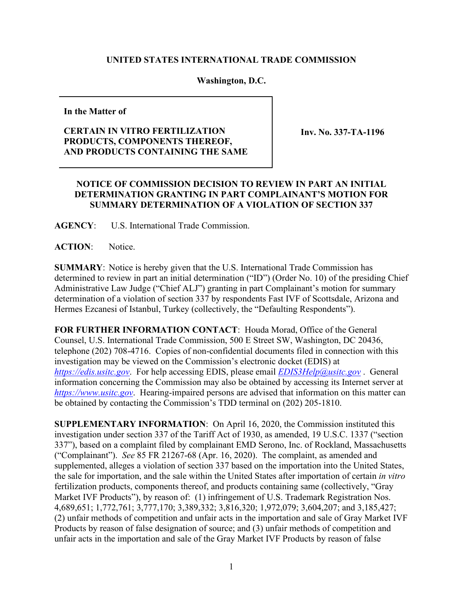## **UNITED STATES INTERNATIONAL TRADE COMMISSION**

## **Washington, D.C.**

**In the Matter of**

## **CERTAIN IN VITRO FERTILIZATION PRODUCTS, COMPONENTS THEREOF, AND PRODUCTS CONTAINING THE SAME**

**Inv. No. 337-TA-1196**

## **NOTICE OF COMMISSION DECISION TO REVIEW IN PART AN INITIAL DETERMINATION GRANTING IN PART COMPLAINANT'S MOTION FOR SUMMARY DETERMINATION OF A VIOLATION OF SECTION 337**

**AGENCY**: U.S. International Trade Commission.

**ACTION**: Notice.

**SUMMARY**: Notice is hereby given that the U.S. International Trade Commission has determined to review in part an initial determination ("ID") (Order No. 10) of the presiding Chief Administrative Law Judge ("Chief ALJ") granting in part Complainant's motion for summary determination of a violation of section 337 by respondents Fast IVF of Scottsdale, Arizona and Hermes Ezcanesi of Istanbul, Turkey (collectively, the "Defaulting Respondents").

**FOR FURTHER INFORMATION CONTACT**: Houda Morad, Office of the General Counsel, U.S. International Trade Commission, 500 E Street SW, Washington, DC 20436, telephone (202) 708-4716. Copies of non-confidential documents filed in connection with this investigation may be viewed on the Commission's electronic docket (EDIS) at *[https://edis.usitc.gov](https://edis.usitc.gov/)*. For help accessing EDIS, please email *[EDIS3Help@usitc.gov](mailto:EDIS3Help@usitc.gov)* . General information concerning the Commission may also be obtained by accessing its Internet server at *[https://www.usitc.gov](https://www.usitc.gov/)*. Hearing-impaired persons are advised that information on this matter can be obtained by contacting the Commission's TDD terminal on (202) 205-1810.

**SUPPLEMENTARY INFORMATION**: On April 16, 2020, the Commission instituted this investigation under section 337 of the Tariff Act of 1930, as amended, 19 U.S.C. 1337 ("section 337"), based on a complaint filed by complainant EMD Serono, Inc. of Rockland, Massachusetts ("Complainant"). *See* 85 FR 21267-68 (Apr. 16, 2020). The complaint, as amended and supplemented, alleges a violation of section 337 based on the importation into the United States, the sale for importation, and the sale within the United States after importation of certain *in vitro* fertilization products, components thereof, and products containing same (collectively, "Gray Market IVF Products"), by reason of: (1) infringement of U.S. Trademark Registration Nos. 4,689,651; 1,772,761; 3,777,170; 3,389,332; 3,816,320; 1,972,079; 3,604,207; and 3,185,427; (2) unfair methods of competition and unfair acts in the importation and sale of Gray Market IVF Products by reason of false designation of source; and (3) unfair methods of competition and unfair acts in the importation and sale of the Gray Market IVF Products by reason of false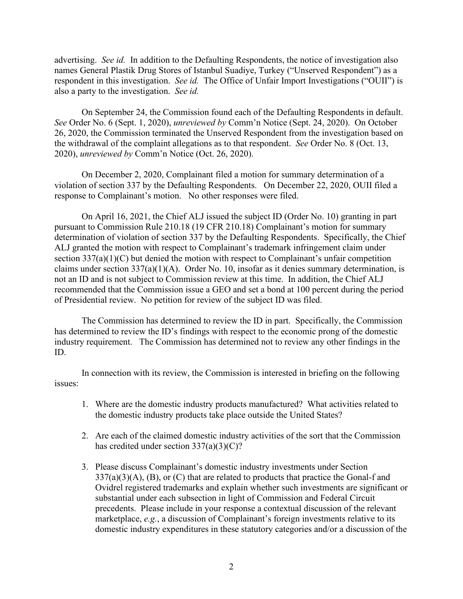advertising. *See id.* In addition to the Defaulting Respondents, the notice of investigation also names General Plastik Drug Stores of Istanbul Suadiye, Turkey ("Unserved Respondent") as a respondent in this investigation. *See id.* The Office of Unfair Import Investigations ("OUII") is also a party to the investigation. *See id.* 

On September 24, the Commission found each of the Defaulting Respondents in default. *See* Order No. 6 (Sept. 1, 2020), *unreviewed by* Comm'n Notice (Sept. 24, 2020). On October 26, 2020, the Commission terminated the Unserved Respondent from the investigation based on the withdrawal of the complaint allegations as to that respondent. *See* Order No. 8 (Oct. 13, 2020), *unreviewed by* Comm'n Notice (Oct. 26, 2020).

On December 2, 2020, Complainant filed a motion for summary determination of a violation of section 337 by the Defaulting Respondents. On December 22, 2020, OUII filed a response to Complainant's motion. No other responses were filed.

On April 16, 2021, the Chief ALJ issued the subject ID (Order No. 10) granting in part pursuant to Commission Rule 210.18 (19 CFR 210.18) Complainant's motion for summary determination of violation of section 337 by the Defaulting Respondents. Specifically, the Chief ALJ granted the motion with respect to Complainant's trademark infringement claim under section 337(a)(1)(C) but denied the motion with respect to Complainant's unfair competition claims under section  $337(a)(1)(A)$ . Order No. 10, insofar as it denies summary determination, is not an ID and is not subject to Commission review at this time. In addition, the Chief ALJ recommended that the Commission issue a GEO and set a bond at 100 percent during the period of Presidential review. No petition for review of the subject ID was filed.

The Commission has determined to review the ID in part. Specifically, the Commission has determined to review the ID's findings with respect to the economic prong of the domestic industry requirement. The Commission has determined not to review any other findings in the ID.

In connection with its review, the Commission is interested in briefing on the following issues:

- 1. Where are the domestic industry products manufactured? What activities related to the domestic industry products take place outside the United States?
- 2. Are each of the claimed domestic industry activities of the sort that the Commission has credited under section  $337(a)(3)(C)$ ?
- 3. Please discuss Complainant's domestic industry investments under Section  $337(a)(3)(A)$ ,  $(B)$ , or  $(C)$  that are related to products that practice the Gonal-f and Ovidrel registered trademarks and explain whether such investments are significant or substantial under each subsection in light of Commission and Federal Circuit precedents. Please include in your response a contextual discussion of the relevant marketplace, *e.g.*, a discussion of Complainant's foreign investments relative to its domestic industry expenditures in these statutory categories and/or a discussion of the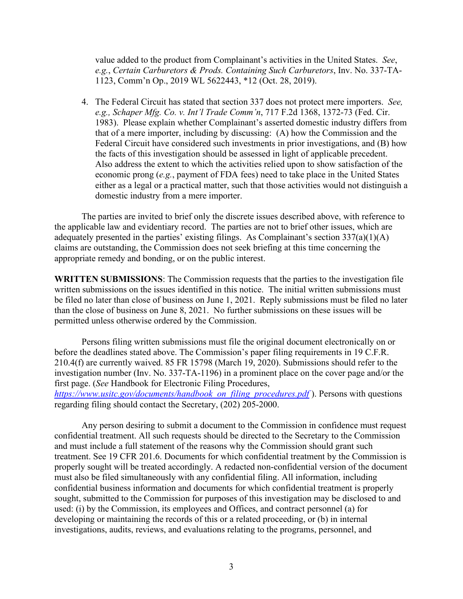value added to the product from Complainant's activities in the United States. *See*, *e.g.*, *Certain Carburetors & Prods. Containing Such Carburetors*, Inv. No. 337-TA-1123, Comm'n Op., 2019 WL 5622443, \*12 (Oct. 28, 2019).

4. The Federal Circuit has stated that section 337 does not protect mere importers. *See, e.g., Schaper Mfg. Co. v. Int'l Trade Comm'n*, 717 F.2d 1368, 1372-73 (Fed. Cir. 1983). Please explain whether Complainant's asserted domestic industry differs from that of a mere importer, including by discussing: (A) how the Commission and the Federal Circuit have considered such investments in prior investigations, and (B) how the facts of this investigation should be assessed in light of applicable precedent. Also address the extent to which the activities relied upon to show satisfaction of the economic prong (*e.g.*, payment of FDA fees) need to take place in the United States either as a legal or a practical matter, such that those activities would not distinguish a domestic industry from a mere importer.

The parties are invited to brief only the discrete issues described above, with reference to the applicable law and evidentiary record. The parties are not to brief other issues, which are adequately presented in the parties' existing filings. As Complainant's section 337(a)(1)(A) claims are outstanding, the Commission does not seek briefing at this time concerning the appropriate remedy and bonding, or on the public interest.

**WRITTEN SUBMISSIONS**: The Commission requests that the parties to the investigation file written submissions on the issues identified in this notice. The initial written submissions must be filed no later than close of business on June 1, 2021. Reply submissions must be filed no later than the close of business on June 8, 2021. No further submissions on these issues will be permitted unless otherwise ordered by the Commission.

Persons filing written submissions must file the original document electronically on or before the deadlines stated above. The Commission's paper filing requirements in 19 C.F.R. 210.4(f) are currently waived. 85 FR 15798 (March 19, 2020). Submissions should refer to the investigation number (Inv. No. 337-TA-1196) in a prominent place on the cover page and/or the first page. (*See* Handbook for Electronic Filing Procedures,

*https://www.usitc.gov/documents/handbook on filing procedures.pdf* ). Persons with questions regarding filing should contact the Secretary, (202) 205-2000.

Any person desiring to submit a document to the Commission in confidence must request confidential treatment. All such requests should be directed to the Secretary to the Commission and must include a full statement of the reasons why the Commission should grant such treatment. See 19 CFR 201.6. Documents for which confidential treatment by the Commission is properly sought will be treated accordingly. A redacted non-confidential version of the document must also be filed simultaneously with any confidential filing. All information, including confidential business information and documents for which confidential treatment is properly sought, submitted to the Commission for purposes of this investigation may be disclosed to and used: (i) by the Commission, its employees and Offices, and contract personnel (a) for developing or maintaining the records of this or a related proceeding, or (b) in internal investigations, audits, reviews, and evaluations relating to the programs, personnel, and